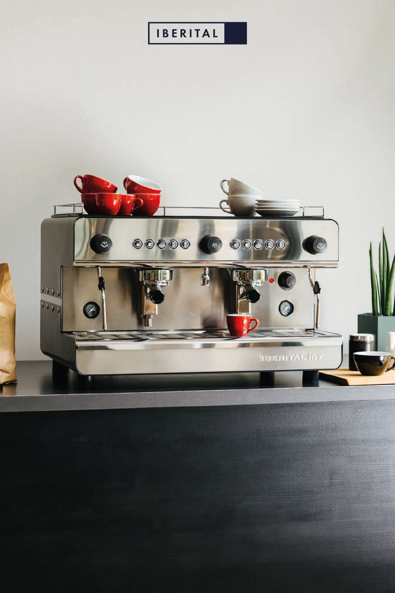#### **IBERITAL**

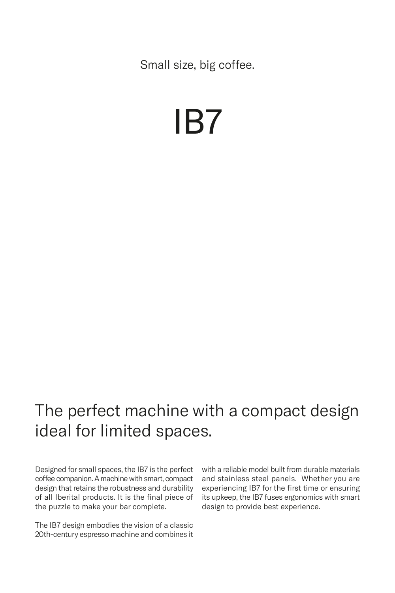Small size, big coffee.

# IB7

### The perfect machine with a compact design ideal for limited spaces.

Designed for small spaces, the IB7 is the perfect coffee companion. A machine with smart, compact design that retains the robustness and durability of all Iberital products. It is the final piece of the puzzle to make your bar complete.

The IB7 design embodies the vision of a classic 20th-century espresso machine and combines it with a reliable model built from durable materials and stainless steel panels. Whether you are experiencing IB7 for the first time or ensuring its upkeep, the IB7 fuses ergonomics with smart design to provide best experience.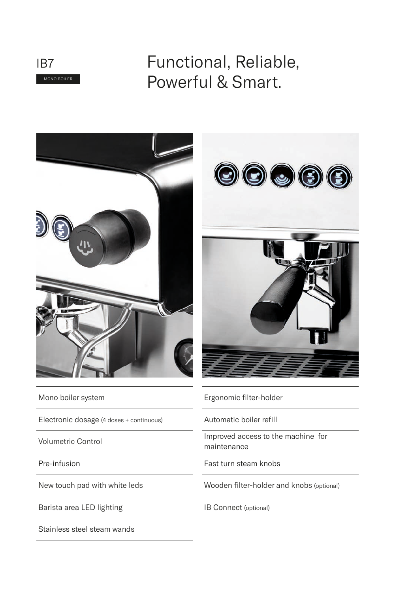

## Functional, Reliable, Powerful & Smart.



Mono boiler system

Electronic dosage (4 doses + continuous)

Volumetric Control

Pre-infusion

New touch pad with white leds

Barista area LED lighting

Stainless steel steam wands



Ergonomic filter-holder

Automatic boiler refill

Improved access to the machine for maintenance

Fast turn steam knobs

Wooden filter-holder and knobs (optional)

IB Connect (optional)